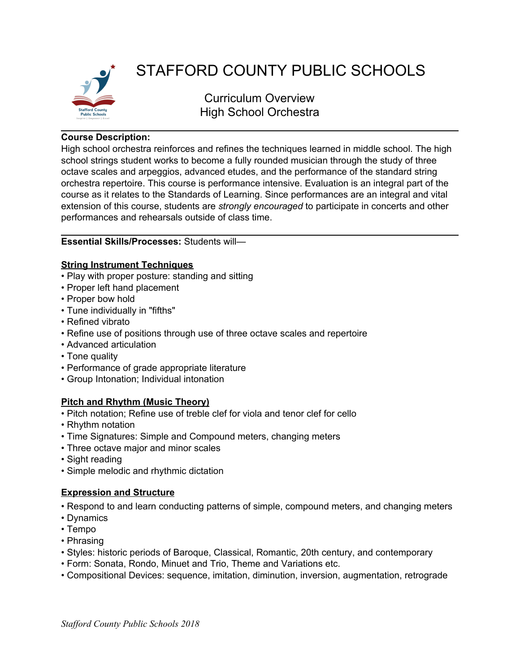

# STAFFORD COUNTY PUBLIC SCHOOLS

Curriculum Overview High School Orchestra

## **Course Description:**

High school orchestra reinforces and refines the techniques learned in middle school. The high school strings student works to become a fully rounded musician through the study of three octave scales and arpeggios, advanced etudes, and the performance of the standard string orchestra repertoire. This course is performance intensive. Evaluation is an integral part of the course as it relates to the Standards of Learning. Since performances are an integral and vital extension of this course, students are *strongly encouraged* to participate in concerts and other performances and rehearsals outside of class time.

# **Essential Skills/Processes:** Students will—

# **String Instrument Techniques**

- Play with proper posture: standing and sitting
- Proper left hand placement
- Proper bow hold
- Tune individually in "fifths"
- Refined vibrato
- Refine use of positions through use of three octave scales and repertoire
- Advanced articulation
- Tone quality
- Performance of grade appropriate literature
- Group Intonation; Individual intonation

# **Pitch and Rhythm (Music Theory)**

- Pitch notation; Refine use of treble clef for viola and tenor clef for cello
- Rhythm notation
- Time Signatures: Simple and Compound meters, changing meters
- Three octave major and minor scales
- Sight reading
- Simple melodic and rhythmic dictation

#### **Expression and Structure**

- Respond to and learn conducting patterns of simple, compound meters, and changing meters
- Dynamics
- Tempo
- Phrasing
- Styles: historic periods of Baroque, Classical, Romantic, 20th century, and contemporary
- Form: Sonata, Rondo, Minuet and Trio, Theme and Variations etc.
- Compositional Devices: sequence, imitation, diminution, inversion, augmentation, retrograde